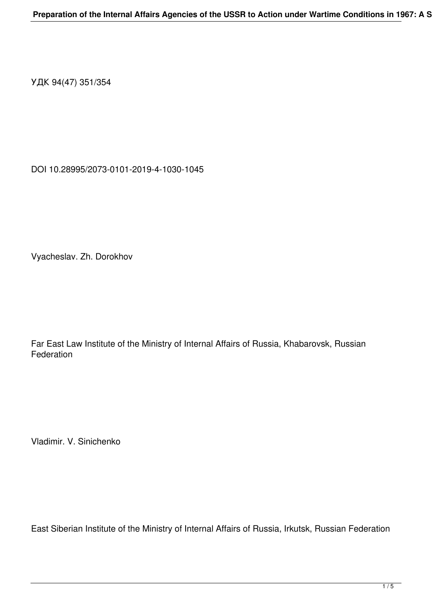УДК 94(47) 351/354

DOI 10.28995/2073-0101-2019-4-1030-1045

Vyacheslav. Zh. Dorokhov

Far East Law Institute of the Ministry of Internal Affairs of Russia, Khabarovsk, Russian **Federation** 

Vladimir. V. Sinichenko

East Siberian Institute of the Ministry of Internal Affairs of Russia, Irkutsk, Russian Federation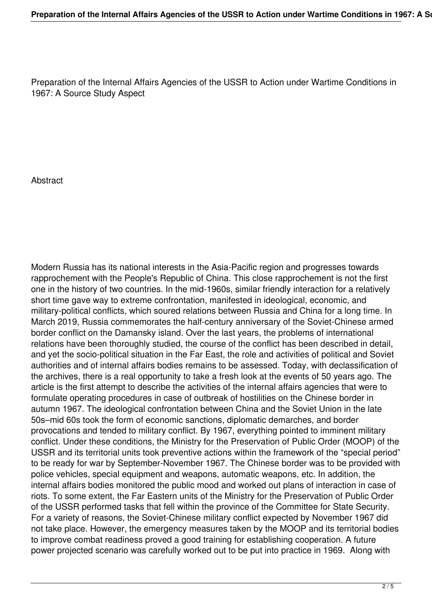Preparation of the Internal Affairs Agencies of the USSR to Action under Wartime Conditions in 1967: A Source Study Aspect

**Abstract** 

Modern Russia has its national interests in the Asia-Pacific region and progresses towards rapprochement with the People's Republic of China. This close rapprochement is not the first one in the history of two countries. In the mid-1960s, similar friendly interaction for a relatively short time gave way to extreme confrontation, manifested in ideological, economic, and military-political conflicts, which soured relations between Russia and China for a long time. In March 2019, Russia commemorates the half-century anniversary of the Soviet-Chinese armed border conflict on the Damansky island. Over the last years, the problems of international relations have been thoroughly studied, the course of the conflict has been described in detail, and yet the socio-political situation in the Far East, the role and activities of political and Soviet authorities and of internal affairs bodies remains to be assessed. Today, with declassification of the archives, there is a real opportunity to take a fresh look at the events of 50 years ago. The article is the first attempt to describe the activities of the internal affairs agencies that were to formulate operating procedures in case of outbreak of hostilities on the Chinese border in autumn 1967. The ideological confrontation between China and the Soviet Union in the late 50s–mid 60s took the form of economic sanctions, diplomatic demarches, and border provocations and tended to military conflict. By 1967, everything pointed to imminent military conflict. Under these conditions, the Ministry for the Preservation of Public Order (MOOP) of the USSR and its territorial units took preventive actions within the framework of the "special period" to be ready for war by September-November 1967. The Chinese border was to be provided with police vehicles, special equipment and weapons, automatic weapons, etc. In addition, the internal affairs bodies monitored the public mood and worked out plans of interaction in case of riots. To some extent, the Far Eastern units of the Ministry for the Preservation of Public Order of the USSR performed tasks that fell within the province of the Committee for State Security. For a variety of reasons, the Soviet-Chinese military conflict expected by November 1967 did not take place. However, the emergency measures taken by the MOOP and its territorial bodies to improve combat readiness proved a good training for establishing cooperation. A future power projected scenario was carefully worked out to be put into practice in 1969. Along with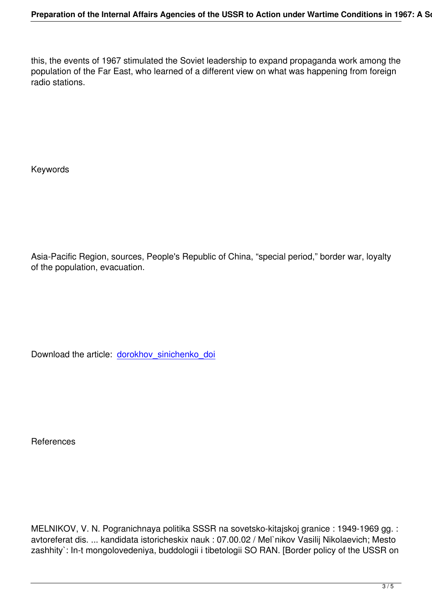this, the events of 1967 stimulated the Soviet leadership to expand propaganda work among the population of the Far East, who learned of a different view on what was happening from foreign radio stations.

Keywords

Asia-Pacific Region, sources, People's Republic of China, "special period," border war, loyalty of the population, evacuation.

Download the article: dorokhov sinichenko doi

**References** 

MELNIKOV, V. N. Pogranichnaya politika SSSR na sovetsko-kitajskoj granice : 1949-1969 gg. : avtoreferat dis. ... kandidata istoricheskix nauk : 07.00.02 / Mel`nikov Vasilij Nikolaevich; Mesto zashhity`: In-t mongolovedeniya, buddologii i tibetologii SO RAN. [Border policy of the USSR on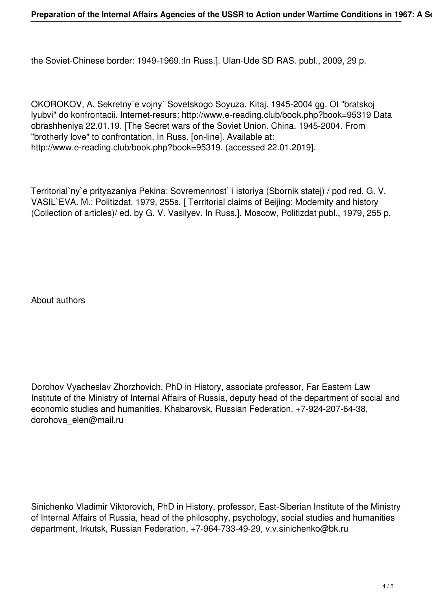the Soviet-Chinese border: 1949-1969.:In Russ.]. Ulan-Ude SD RAS. publ., 2009, 29 p.

OKOROKOV, A. Sekretny`e vojny` Sovetskogo Soyuza. Kitaj. 1945-2004 gg. Ot "bratskoj lyubvi" do konfrontacii. Internet-resurs: http://www.e-reading.club/book.php?book=95319 Data obrashheniya 22.01.19. [The Secret wars of the Soviet Union. China. 1945-2004. From "brotherly love" to confrontation. In Russ. [on-line]. Available at: http://www.e-reading.club/book.php?book=95319. (accessed 22.01.2019].

Territorial`ny`e prityazaniya Pekina: Sovremennost` i istoriya (Sbornik statej) / pod red. G. V. VASIL`EVA. M.: Politizdat, 1979, 255s. [ Territorial claims of Beijing: Modernity and history (Collection of articles)/ ed. by G. V. Vasilyev. In Russ.]. Moscow, Politizdat publ., 1979, 255 p.

About authors

Dorohov Vyacheslav Zhorzhovich, PhD in History, associate professor, Far Eastern Law Institute of the Ministry of Internal Affairs of Russia, deputy head of the department of social and economic studies and humanities, Khabarovsk, Russian Federation, +7-924-207-64-38, dorohova\_elen@mail.ru

Sinichenko Vladimir Viktorovich, PhD in History, professor, East-Siberian Institute of the Ministry of Internal Affairs of Russia, head of the philosophy, psychology, social studies and humanities department, Irkutsk, Russian Federation, +7-964-733-49-29, v.v.sinichenko@bk.ru